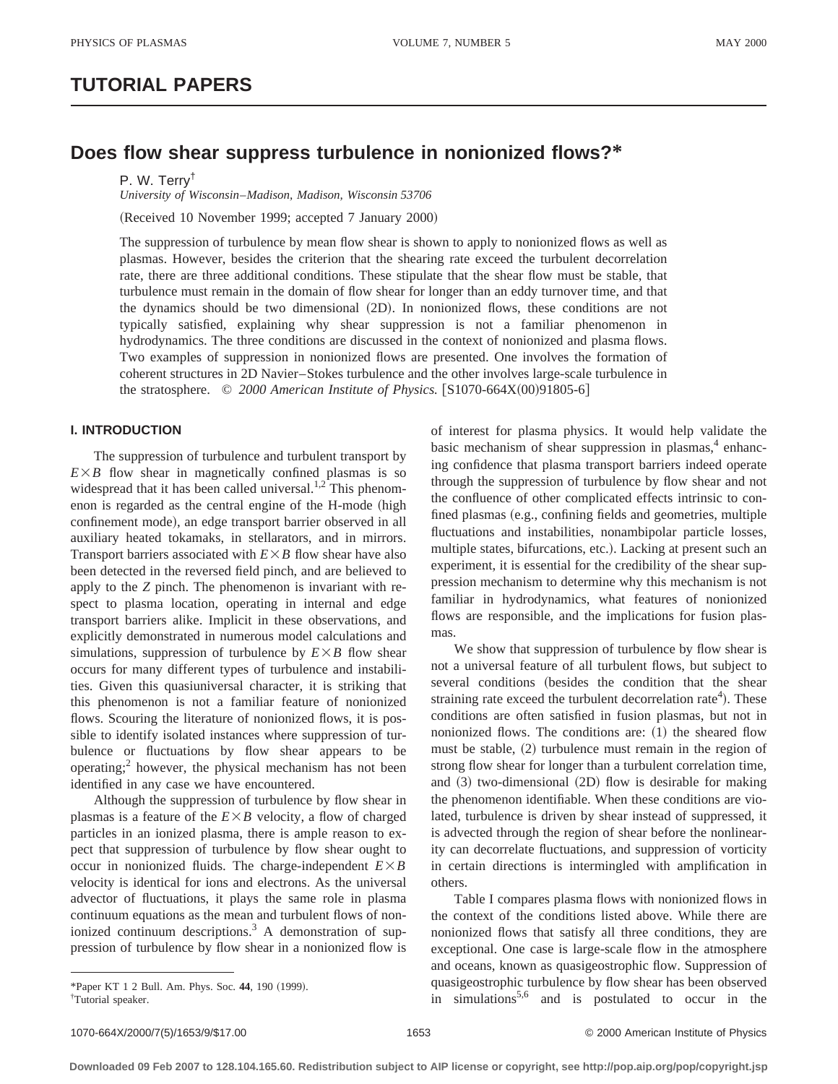# **TUTORIAL PAPERS**

# **Does flow shear suppress turbulence in nonionized flows?\***

P. W. Terry†

*University of Wisconsin*–*Madison, Madison, Wisconsin 53706*

(Received 10 November 1999; accepted 7 January 2000)

The suppression of turbulence by mean flow shear is shown to apply to nonionized flows as well as plasmas. However, besides the criterion that the shearing rate exceed the turbulent decorrelation rate, there are three additional conditions. These stipulate that the shear flow must be stable, that turbulence must remain in the domain of flow shear for longer than an eddy turnover time, and that the dynamics should be two dimensional (2D). In nonionized flows, these conditions are not typically satisfied, explaining why shear suppression is not a familiar phenomenon in hydrodynamics. The three conditions are discussed in the context of nonionized and plasma flows. Two examples of suppression in nonionized flows are presented. One involves the formation of coherent structures in 2D Navier–Stokes turbulence and the other involves large-scale turbulence in the stratosphere. © 2000 American Institute of Physics. [S1070-664X(00)91805-6]

## **I. INTRODUCTION**

The suppression of turbulence and turbulent transport by  $E \times B$  flow shear in magnetically confined plasmas is so widespread that it has been called universal.<sup>1,2</sup> This phenomenon is regarded as the central engine of the H-mode (high confinement mode), an edge transport barrier observed in all auxiliary heated tokamaks, in stellarators, and in mirrors. Transport barriers associated with  $E \times B$  flow shear have also been detected in the reversed field pinch, and are believed to apply to the *Z* pinch. The phenomenon is invariant with respect to plasma location, operating in internal and edge transport barriers alike. Implicit in these observations, and explicitly demonstrated in numerous model calculations and simulations, suppression of turbulence by  $E \times B$  flow shear occurs for many different types of turbulence and instabilities. Given this quasiuniversal character, it is striking that this phenomenon is not a familiar feature of nonionized flows. Scouring the literature of nonionized flows, it is possible to identify isolated instances where suppression of turbulence or fluctuations by flow shear appears to be operating; $<sup>2</sup>$  however, the physical mechanism has not been</sup> identified in any case we have encountered.

Although the suppression of turbulence by flow shear in plasmas is a feature of the  $E \times B$  velocity, a flow of charged particles in an ionized plasma, there is ample reason to expect that suppression of turbulence by flow shear ought to occur in nonionized fluids. The charge-independent  $E \times B$ velocity is identical for ions and electrons. As the universal advector of fluctuations, it plays the same role in plasma continuum equations as the mean and turbulent flows of nonionized continuum descriptions. $3$  A demonstration of suppression of turbulence by flow shear in a nonionized flow is

of interest for plasma physics. It would help validate the basic mechanism of shear suppression in plasmas, $4$  enhancing confidence that plasma transport barriers indeed operate through the suppression of turbulence by flow shear and not the confluence of other complicated effects intrinsic to confined plasmas (e.g., confining fields and geometries, multiple fluctuations and instabilities, nonambipolar particle losses, multiple states, bifurcations, etc.). Lacking at present such an experiment, it is essential for the credibility of the shear suppression mechanism to determine why this mechanism is not familiar in hydrodynamics, what features of nonionized flows are responsible, and the implications for fusion plasmas.

We show that suppression of turbulence by flow shear is not a universal feature of all turbulent flows, but subject to several conditions (besides the condition that the shear straining rate exceed the turbulent decorrelation rate<sup>4</sup>). These conditions are often satisfied in fusion plasmas, but not in nonionized flows. The conditions are:  $(1)$  the sheared flow must be stable,  $(2)$  turbulence must remain in the region of strong flow shear for longer than a turbulent correlation time, and  $(3)$  two-dimensional  $(2D)$  flow is desirable for making the phenomenon identifiable. When these conditions are violated, turbulence is driven by shear instead of suppressed, it is advected through the region of shear before the nonlinearity can decorrelate fluctuations, and suppression of vorticity in certain directions is intermingled with amplification in others.

Table I compares plasma flows with nonionized flows in the context of the conditions listed above. While there are nonionized flows that satisfy all three conditions, they are exceptional. One case is large-scale flow in the atmosphere and oceans, known as quasigeostrophic flow. Suppression of quasigeostrophic turbulence by flow shear has been observed <sup>\*</sup>Paper KT 1 2 Bull. Am. Phys. Soc. 44, 190 (1999). **The and is postulated to occur in the \***Paper KT 1 2 Bull. Am. Phys. Soc. 44, 190 (1999). **and in the in the simulations<sup>5,6</sup>** and is postulated to occur in the

Tutorial speaker.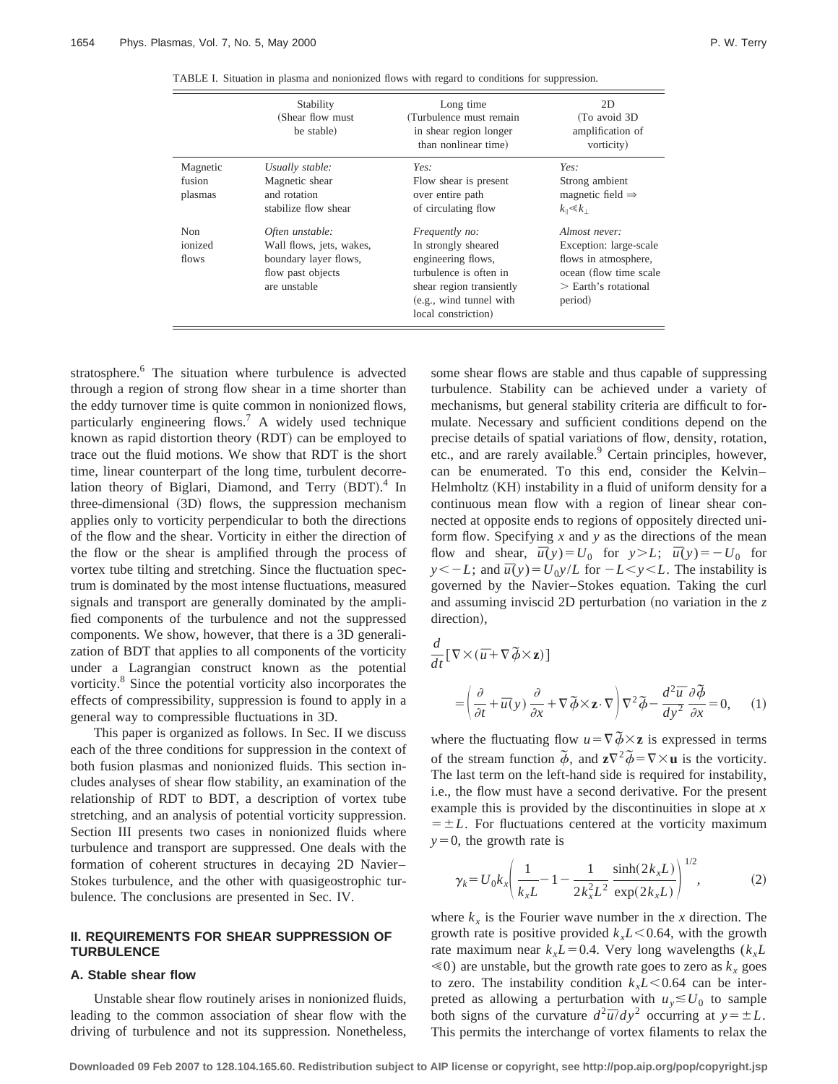|                               | Stability<br>(Shear flow must<br>be stable)                                                               | Long time<br>(Turbulence must remain<br>in shear region longer<br>than nonlinear time)                                                                                     | 2D<br>(To avoid 3D)<br>amplification of<br>vorticity)                                                                             |
|-------------------------------|-----------------------------------------------------------------------------------------------------------|----------------------------------------------------------------------------------------------------------------------------------------------------------------------------|-----------------------------------------------------------------------------------------------------------------------------------|
| Magnetic<br>fusion<br>plasmas | Usually stable:<br>Magnetic shear<br>and rotation<br>stabilize flow shear                                 | Yes:<br>Flow shear is present<br>over entire path<br>of circulating flow                                                                                                   | Yes:<br>Strong ambient<br>magnetic field $\Rightarrow$<br>$k_{\parallel} \ll k_{\perp}$                                           |
| Non<br>ionized<br>flows       | Often unstable:<br>Wall flows, jets, wakes,<br>boundary layer flows,<br>flow past objects<br>are unstable | <i>Frequently no:</i><br>In strongly sheared<br>engineering flows,<br>turbulence is often in<br>shear region transiently<br>(e.g., wind tunnel with<br>local constriction) | Almost never:<br>Exception: large-scale<br>flows in atmosphere,<br>ocean (flow time scale<br>$\geq$ Earth's rotational<br>period) |

TABLE I. Situation in plasma and nonionized flows with regard to conditions for suppression.

stratosphere.<sup>6</sup> The situation where turbulence is advected through a region of strong flow shear in a time shorter than the eddy turnover time is quite common in nonionized flows, particularly engineering flows.<sup>7</sup> A widely used technique known as rapid distortion theory (RDT) can be employed to trace out the fluid motions. We show that RDT is the short time, linear counterpart of the long time, turbulent decorrelation theory of Biglari, Diamond, and Terry (BDT).<sup>4</sup> In three-dimensional (3D) flows, the suppression mechanism applies only to vorticity perpendicular to both the directions of the flow and the shear. Vorticity in either the direction of the flow or the shear is amplified through the process of vortex tube tilting and stretching. Since the fluctuation spectrum is dominated by the most intense fluctuations, measured signals and transport are generally dominated by the amplified components of the turbulence and not the suppressed components. We show, however, that there is a 3D generalization of BDT that applies to all components of the vorticity under a Lagrangian construct known as the potential vorticity.<sup>8</sup> Since the potential vorticity also incorporates the effects of compressibility, suppression is found to apply in a general way to compressible fluctuations in 3D.

This paper is organized as follows. In Sec. II we discuss each of the three conditions for suppression in the context of both fusion plasmas and nonionized fluids. This section includes analyses of shear flow stability, an examination of the relationship of RDT to BDT, a description of vortex tube stretching, and an analysis of potential vorticity suppression. Section III presents two cases in nonionized fluids where turbulence and transport are suppressed. One deals with the formation of coherent structures in decaying 2D Navier– Stokes turbulence, and the other with quasigeostrophic turbulence. The conclusions are presented in Sec. IV.

### **II. REQUIREMENTS FOR SHEAR SUPPRESSION OF TURBULENCE**

#### **A. Stable shear flow**

Unstable shear flow routinely arises in nonionized fluids, leading to the common association of shear flow with the driving of turbulence and not its suppression. Nonetheless, some shear flows are stable and thus capable of suppressing turbulence. Stability can be achieved under a variety of mechanisms, but general stability criteria are difficult to formulate. Necessary and sufficient conditions depend on the precise details of spatial variations of flow, density, rotation, etc., and are rarely available.<sup>9</sup> Certain principles, however, can be enumerated. To this end, consider the Kelvin– Helmholtz (KH) instability in a fluid of uniform density for a continuous mean flow with a region of linear shear connected at opposite ends to regions of oppositely directed uniform flow. Specifying *x* and *y* as the directions of the mean flow and shear,  $\bar{u}(y) = U_0$  for  $y > L$ ;  $\bar{u}(y) = -U_0$  for *y*,  $y \leq -L$ ; and  $\bar{u}(y) = U_0 y / L$  for  $-L \leq y \leq L$ . The instability is governed by the Navier–Stokes equation. Taking the curl and assuming inviscid 2D perturbation (no variation in the  $z$ direction),

$$
\frac{d}{dt} [\nabla \times (\overline{u} + \nabla \widetilde{\phi} \times \mathbf{z})]
$$
\n
$$
= \left( \frac{\partial}{\partial t} + \overline{u}(y) \frac{\partial}{\partial x} + \nabla \widetilde{\phi} \times \mathbf{z} \cdot \nabla \right) \nabla^2 \widetilde{\phi} - \frac{d^2 \overline{u}}{dy^2} \frac{\partial \widetilde{\phi}}{\partial x} = 0, \quad (1)
$$

where the fluctuating flow  $u = \nabla \tilde{\phi} \times z$  is expressed in terms of the stream function  $\tilde{\phi}$ , and  $z\nabla^2 \tilde{\phi} = \nabla \times \mathbf{u}$  is the vorticity. The last term on the left-hand side is required for instability, i.e., the flow must have a second derivative. For the present example this is provided by the discontinuities in slope at *x*  $= \pm L$ . For fluctuations centered at the vorticity maximum  $y=0$ , the growth rate is

$$
\gamma_k = U_0 k_x \left( \frac{1}{k_x L} - 1 - \frac{1}{2k_x^2 L^2} \frac{\sinh(2k_x L)}{\exp(2k_x L)} \right)^{1/2},\tag{2}
$$

where  $k_x$  is the Fourier wave number in the *x* direction. The growth rate is positive provided  $k<sub>x</sub>L<0.64$ , with the growth rate maximum near  $k_xL=0.4$ . Very long wavelengths ( $k_xL$  $\leq 0$ ) are unstable, but the growth rate goes to zero as  $k_x$  goes to zero. The instability condition  $k<sub>x</sub>L<0.64$  can be interpreted as allowing a perturbation with  $u_y \leq U_0$  to sample both signs of the curvature  $d^2\bar{u}/dy^2$  occurring at  $y = \pm L$ . This permits the interchange of vortex filaments to relax the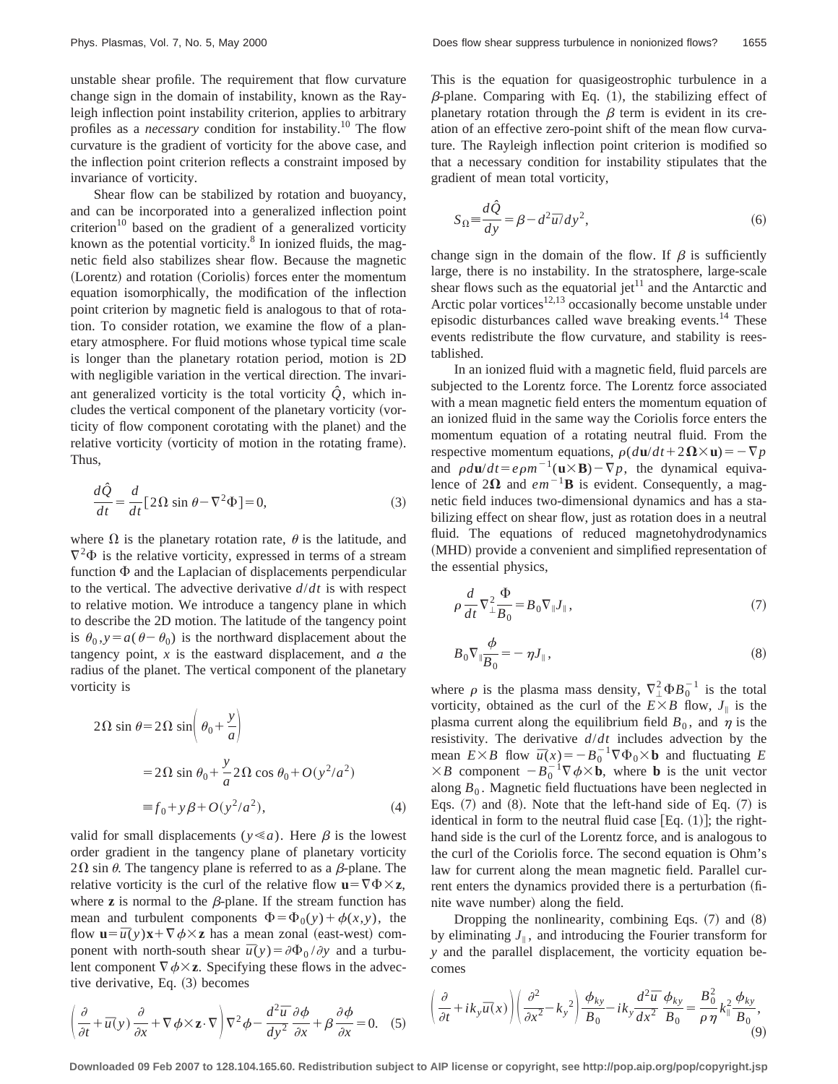unstable shear profile. The requirement that flow curvature change sign in the domain of instability, known as the Rayleigh inflection point instability criterion, applies to arbitrary profiles as a *necessary* condition for instability.<sup>10</sup> The flow curvature is the gradient of vorticity for the above case, and the inflection point criterion reflects a constraint imposed by invariance of vorticity.

Shear flow can be stabilized by rotation and buoyancy, and can be incorporated into a generalized inflection point criterion<sup>10</sup> based on the gradient of a generalized vorticity known as the potential vorticity. $8 \text{ In ionized fluids, the mag-}$ netic field also stabilizes shear flow. Because the magnetic (Lorentz) and rotation (Coriolis) forces enter the momentum equation isomorphically, the modification of the inflection point criterion by magnetic field is analogous to that of rotation. To consider rotation, we examine the flow of a planetary atmosphere. For fluid motions whose typical time scale is longer than the planetary rotation period, motion is 2D with negligible variation in the vertical direction. The invariant generalized vorticity is the total vorticity  $\hat{Q}$ , which includes the vertical component of the planetary vorticity (vorticity of flow component corotating with the planet) and the relative vorticity (vorticity of motion in the rotating frame). Thus,

$$
\frac{d\hat{Q}}{dt} = \frac{d}{dt} [2\Omega \sin \theta - \nabla^2 \Phi] = 0,
$$
\n(3)

where  $\Omega$  is the planetary rotation rate,  $\theta$  is the latitude, and  $\nabla^2 \Phi$  is the relative vorticity, expressed in terms of a stream function  $\Phi$  and the Laplacian of displacements perpendicular to the vertical. The advective derivative *d*/*dt* is with respect to relative motion. We introduce a tangency plane in which to describe the 2D motion. The latitude of the tangency point is  $\theta_0$ ,  $y = a(\theta - \theta_0)$  is the northward displacement about the tangency point, *x* is the eastward displacement, and *a* the radius of the planet. The vertical component of the planetary vorticity is

$$
2\Omega \sin \theta = 2\Omega \sin \left( \theta_0 + \frac{y}{a} \right)
$$
  
=  $2\Omega \sin \theta_0 + \frac{y}{a} 2\Omega \cos \theta_0 + O(y^2/a^2)$   
=  $f_0 + y\beta + O(y^2/a^2)$ , (4)

valid for small displacements ( $y \ll a$ ). Here  $\beta$  is the lowest order gradient in the tangency plane of planetary vorticity  $2\Omega$  sin  $\theta$ . The tangency plane is referred to as a  $\beta$ -plane. The relative vorticity is the curl of the relative flow  $\mathbf{u} = \nabla \Phi \times \mathbf{z}$ , where  $\bf{z}$  is normal to the  $\beta$ -plane. If the stream function has mean and turbulent components  $\Phi = \Phi_0(y) + \phi(x, y)$ , the flow  $\mathbf{u} = \overline{u}(y)\mathbf{x} + \nabla \phi \times \mathbf{z}$  has a mean zonal (east-west) component with north-south shear  $\bar{u}(y) = \partial \Phi_0 / \partial y$  and a turbulent component  $\nabla \phi \times z$ . Specifying these flows in the advective derivative, Eq.  $(3)$  becomes

This is the equation for quasigeostrophic turbulence in a  $\beta$ -plane. Comparing with Eq. (1), the stabilizing effect of planetary rotation through the  $\beta$  term is evident in its creation of an effective zero-point shift of the mean flow curvature. The Rayleigh inflection point criterion is modified so that a necessary condition for instability stipulates that the gradient of mean total vorticity,

$$
S_{\Omega} \equiv \frac{d\hat{Q}}{dy} = \beta - d^2 \overline{u} / dy^2,
$$
\n(6)

change sign in the domain of the flow. If  $\beta$  is sufficiently large, there is no instability. In the stratosphere, large-scale shear flows such as the equatorial jet<sup>11</sup> and the Antarctic and Arctic polar vortices $12,13$  occasionally become unstable under episodic disturbances called wave breaking events.14 These events redistribute the flow curvature, and stability is reestablished.

In an ionized fluid with a magnetic field, fluid parcels are subjected to the Lorentz force. The Lorentz force associated with a mean magnetic field enters the momentum equation of an ionized fluid in the same way the Coriolis force enters the momentum equation of a rotating neutral fluid. From the respective momentum equations,  $\rho(d\mathbf{u}/dt + 2\mathbf{\Omega}\times\mathbf{u}) = -\nabla p$ and  $\rho d\mathbf{u}/dt = e\rho m^{-1}(\mathbf{u} \times \mathbf{B}) - \nabla p$ , the dynamical equivalence of  $2\Omega$  and  $em^{-1}B$  is evident. Consequently, a magnetic field induces two-dimensional dynamics and has a stabilizing effect on shear flow, just as rotation does in a neutral fluid. The equations of reduced magnetohydrodynamics (MHD) provide a convenient and simplified representation of the essential physics,

$$
\rho \frac{d}{dt} \nabla_{\perp}^2 \frac{\Phi}{B_0} = B_0 \nabla_{\parallel} J_{\parallel} , \qquad (7)
$$

$$
B_0 \nabla_{\parallel} \frac{\phi}{B_0} = - \eta J_{\parallel}, \qquad (8)
$$

where  $\rho$  is the plasma mass density,  $\nabla^2_\perp \Phi B_0^{-1}$  is the total vorticity, obtained as the curl of the  $E \times B$  flow,  $J_{\parallel}$  is the plasma current along the equilibrium field  $B_0$ , and  $\eta$  is the resistivity. The derivative *d*/*dt* includes advection by the mean  $E \times B$  flow  $\bar{u}(x) = -B_0^{-1} \nabla \Phi_0 \times \mathbf{b}$  and fluctuating *E*  $\times B$  component  $-B_0^{-1}\nabla \phi \times \mathbf{b}$ , where **b** is the unit vector along  $B_0$ . Magnetic field fluctuations have been neglected in Eqs.  $(7)$  and  $(8)$ . Note that the left-hand side of Eq.  $(7)$  is identical in form to the neutral fluid case  $[Eq. (1)]$ ; the righthand side is the curl of the Lorentz force, and is analogous to the curl of the Coriolis force. The second equation is Ohm's law for current along the mean magnetic field. Parallel current enters the dynamics provided there is a perturbation (finite wave number) along the field.

Dropping the nonlinearity, combining Eqs.  $(7)$  and  $(8)$ by eliminating  $J_{\parallel}$ , and introducing the Fourier transform for *y* and the parallel displacement, the vorticity equation becomes

$$
\left(\frac{\partial}{\partial t} + \overline{u}(y)\frac{\partial}{\partial x} + \nabla \phi \times \mathbf{z} \cdot \nabla \right) \nabla^2 \phi - \frac{d^2 \overline{u}}{dy^2} \frac{\partial \phi}{\partial x} + \beta \frac{\partial \phi}{\partial x} = 0. \quad (5) \qquad \left(\frac{\partial}{\partial t} + ik_y \overline{u}(x)\right) \left(\frac{\partial^2}{\partial x^2} - k_y^2\right) \frac{\phi_{ky}}{B_0} - ik_y \frac{d^2 \overline{u}}{dx^2} \frac{\phi_{ky}}{B_0} = \frac{B_0^2}{\rho \eta} k_{\parallel}^2 \frac{\phi_{ky}}{B_0},
$$
\n(9)

 $\sqrt{2}$ 

**Downloaded 09 Feb 2007 to 128.104.165.60. Redistribution subject to AIP license or copyright, see http://pop.aip.org/pop/copyright.jsp**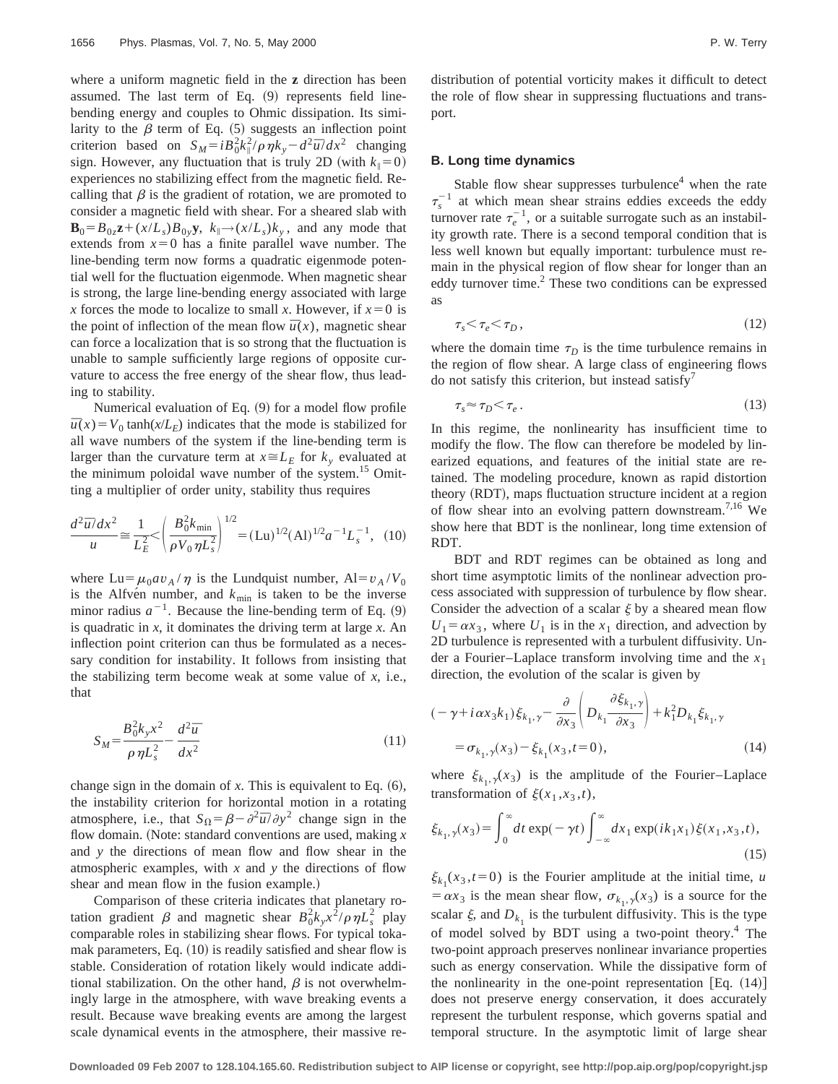where a uniform magnetic field in the **z** direction has been assumed. The last term of Eq.  $(9)$  represents field linebending energy and couples to Ohmic dissipation. Its similarity to the  $\beta$  term of Eq. (5) suggests an inflection point criterion based on  $S_M = iB_0^2 k_{\parallel}^2 / \rho \eta k_y - d^2 \bar{u} / dx^2$  changing sign. However, any fluctuation that is truly 2D (with  $k_{\parallel}=0$ ) experiences no stabilizing effect from the magnetic field. Recalling that  $\beta$  is the gradient of rotation, we are promoted to consider a magnetic field with shear. For a sheared slab with  $\mathbf{B}_0 = B_{0z}\mathbf{z} + (x/L_s)B_{0y}\mathbf{y}$ ,  $k_{\parallel} \rightarrow (x/L_s)k_{y}$ , and any mode that extends from  $x=0$  has a finite parallel wave number. The line-bending term now forms a quadratic eigenmode potential well for the fluctuation eigenmode. When magnetic shear is strong, the large line-bending energy associated with large *x* forces the mode to localize to small *x*. However, if  $x=0$  is the point of inflection of the mean flow  $\bar{u}(x)$ , magnetic shear can force a localization that is so strong that the fluctuation is unable to sample sufficiently large regions of opposite curvature to access the free energy of the shear flow, thus leading to stability.

Numerical evaluation of Eq.  $(9)$  for a model flow profile  $\bar{u}(x) = V_0 \tanh(x/L_E)$  indicates that the mode is stabilized for all wave numbers of the system if the line-bending term is larger than the curvature term at  $x \cong L_E$  for  $k_y$  evaluated at the minimum poloidal wave number of the system.<sup>15</sup> Omitting a multiplier of order unity, stability thus requires

$$
\frac{d^2\overline{u}/dx^2}{u} \cong \frac{1}{L_E^2} < \left(\frac{B_0^2 k_{\text{min}}}{\rho V_0 \eta L_s^2}\right)^{1/2} = (\text{Lu})^{1/2} (A l)^{1/2} a^{-1} L_s^{-1}, \tag{10}
$$

where  $Lu = \mu_0 a v_A / \eta$  is the Lundquist number,  $Al = v_A / V_0$ is the Alfve<sup>n</sup> number, and  $k_{\text{min}}$  is taken to be the inverse minor radius  $a^{-1}$ . Because the line-bending term of Eq.  $(9)$ is quadratic in *x*, it dominates the driving term at large *x*. An inflection point criterion can thus be formulated as a necessary condition for instability. It follows from insisting that the stabilizing term become weak at some value of *x*, i.e., that

$$
S_M = \frac{B_0^2 k_y x^2}{\rho \eta L_s^2} - \frac{d^2 \overline{u}}{dx^2}
$$
 (11)

change sign in the domain of  $x$ . This is equivalent to Eq.  $(6)$ , the instability criterion for horizontal motion in a rotating atmosphere, i.e., that  $S_{\Omega} = \beta - \frac{\partial^2 \overline{u}}{\partial y^2}$  change sign in the flow domain. (Note: standard conventions are used, making *x* and *y* the directions of mean flow and flow shear in the atmospheric examples, with *x* and *y* the directions of flow shear and mean flow in the fusion example.)

Comparison of these criteria indicates that planetary rotation gradient  $\beta$  and magnetic shear  $B_0^2 k_y x^2 / \rho \eta L_s^2$  play comparable roles in stabilizing shear flows. For typical tokamak parameters, Eq.  $(10)$  is readily satisfied and shear flow is stable. Consideration of rotation likely would indicate additional stabilization. On the other hand,  $\beta$  is not overwhelmingly large in the atmosphere, with wave breaking events a result. Because wave breaking events are among the largest scale dynamical events in the atmosphere, their massive redistribution of potential vorticity makes it difficult to detect the role of flow shear in suppressing fluctuations and transport.

#### **B. Long time dynamics**

Stable flow shear suppresses turbulence $<sup>4</sup>$  when the rate</sup>  $\tau_s^{-1}$  at which mean shear strains eddies exceeds the eddy turnover rate  $\tau_e^{-1}$ , or a suitable surrogate such as an instability growth rate. There is a second temporal condition that is less well known but equally important: turbulence must remain in the physical region of flow shear for longer than an eddy turnover time. $2$  These two conditions can be expressed as

$$
\tau_s \leq \tau_e \leq \tau_D, \tag{12}
$$

where the domain time  $\tau_D$  is the time turbulence remains in the region of flow shear. A large class of engineering flows do not satisfy this criterion, but instead satisfy<sup>7</sup>

$$
\tau_s \approx \tau_D \langle \tau_e \,. \tag{13}
$$

In this regime, the nonlinearity has insufficient time to modify the flow. The flow can therefore be modeled by linearized equations, and features of the initial state are retained. The modeling procedure, known as rapid distortion theory (RDT), maps fluctuation structure incident at a region of flow shear into an evolving pattern downstream.<sup>7,16</sup> We show here that BDT is the nonlinear, long time extension of RDT.

BDT and RDT regimes can be obtained as long and short time asymptotic limits of the nonlinear advection process associated with suppression of turbulence by flow shear. Consider the advection of a scalar  $\xi$  by a sheared mean flow  $U_1 = \alpha x_3$ , where  $U_1$  is in the  $x_1$  direction, and advection by 2D turbulence is represented with a turbulent diffusivity. Under a Fourier–Laplace transform involving time and the *x*<sup>1</sup> direction, the evolution of the scalar is given by

$$
(-\gamma + i\alpha x_3 k_1) \xi_{k_1, \gamma} - \frac{\partial}{\partial x_3} \left( D_{k_1} \frac{\partial \xi_{k_1, \gamma}}{\partial x_3} \right) + k_1^2 D_{k_1} \xi_{k_1, \gamma}
$$
  
=  $\sigma_{k_1, \gamma}(x_3) - \xi_{k_1}(x_3, t = 0),$  (14)

where  $\xi_{k_1,y}(x_3)$  is the amplitude of the Fourier–Laplace transformation of  $\xi(x_1, x_3, t)$ ,

$$
\xi_{k_1,\gamma}(x_3) = \int_0^\infty dt \exp(-\gamma t) \int_{-\infty}^\infty dx_1 \exp(ik_1x_1) \xi(x_1, x_3, t),\tag{15}
$$

 $\xi_{k_1}(x_3,t=0)$  is the Fourier amplitude at the initial time, *u*  $= \alpha x_3$  is the mean shear flow,  $\sigma_{k_1,y}(x_3)$  is a source for the scalar  $\xi$ , and  $D_{k_1}$  is the turbulent diffusivity. This is the type of model solved by BDT using a two-point theory.4 The two-point approach preserves nonlinear invariance properties such as energy conservation. While the dissipative form of the nonlinearity in the one-point representation  $Eq. (14)$ does not preserve energy conservation, it does accurately represent the turbulent response, which governs spatial and temporal structure. In the asymptotic limit of large shear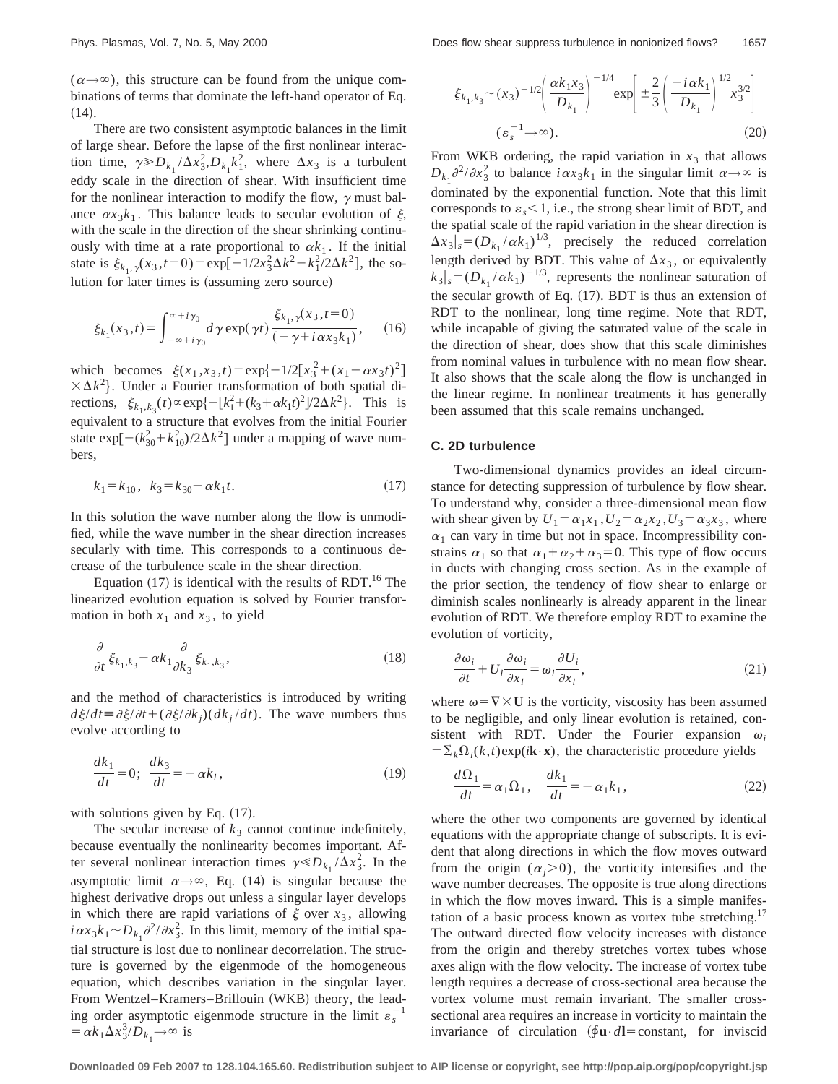$(\alpha \rightarrow \infty)$ , this structure can be found from the unique combinations of terms that dominate the left-hand operator of Eq.  $(14).$ 

There are two consistent asymptotic balances in the limit of large shear. Before the lapse of the first nonlinear interaction time,  $\gamma \gg D_{k_1} / \Delta x_3^2$ ,  $D_{k_1} k_1^2$ , where  $\Delta x_3$  is a turbulent eddy scale in the direction of shear. With insufficient time for the nonlinear interaction to modify the flow,  $\gamma$  must balance  $\alpha x_3 k_1$ . This balance leads to secular evolution of  $\xi$ , with the scale in the direction of the shear shrinking continuously with time at a rate proportional to  $\alpha k_1$ . If the initial state is  $\xi_{k_1, \gamma}(x_3, t=0) = \exp[-1/2x_3^2\Delta k^2 - k_1^2/2\Delta k^2]$ , the solution for later times is (assuming zero source)

$$
\xi_{k_1}(x_3,t) = \int_{-\infty+i\gamma_0}^{\infty+i\gamma_0} d\,\gamma \exp(\,\gamma t) \, \frac{\xi_{k_1,\gamma}(x_3,t=0)}{(-\,\gamma+i\,\alpha x_3 k_1)},\qquad(16)
$$

which becomes  $\xi(x_1, x_3, t) = \exp\{-1/2[x_3^2 + (x_1 - \alpha x_3 t)^2]$  $\times \Delta k^2$ . Under a Fourier transformation of both spatial directions,  $\xi_{k_1,k_3}(t) \propto \exp\{-[k_1^2 + (k_3 + \alpha k_1 t)^2]/2\Delta k^2\}$ . This is equivalent to a structure that evolves from the initial Fourier state  $\exp[-(k_{30}^2 + k_{10}^2)/2\Delta k^2]$  under a mapping of wave numbers,

$$
k_1 = k_{10}, \ \ k_3 = k_{30} - \alpha k_1 t. \tag{17}
$$

In this solution the wave number along the flow is unmodified, while the wave number in the shear direction increases secularly with time. This corresponds to a continuous decrease of the turbulence scale in the shear direction.

Equation  $(17)$  is identical with the results of RDT.<sup>16</sup> The linearized evolution equation is solved by Fourier transformation in both  $x_1$  and  $x_3$ , to yield

$$
\frac{\partial}{\partial t}\xi_{k_1,k_3} - \alpha k_1 \frac{\partial}{\partial k_3} \xi_{k_1,k_3},\tag{18}
$$

and the method of characteristics is introduced by writing  $d\xi/dt \equiv \partial \xi/dt + (\partial \xi/\partial k_i)(dk_i/dt)$ . The wave numbers thus evolve according to

$$
\frac{dk_1}{dt} = 0; \quad \frac{dk_3}{dt} = -\alpha k_l,\tag{19}
$$

with solutions given by Eq.  $(17)$ .

The secular increase of  $k_3$  cannot continue indefinitely, because eventually the nonlinearity becomes important. After several nonlinear interaction times  $\gamma \ll D_{k_1} / \Delta x_3^2$ . In the asymptotic limit  $\alpha \rightarrow \infty$ , Eq. (14) is singular because the highest derivative drops out unless a singular layer develops in which there are rapid variations of  $\xi$  over  $x_3$ , allowing  $i\alpha x_3 k_1 \sim D_{k_1} \partial^2/\partial x_3^2$ . In this limit, memory of the initial spatial structure is lost due to nonlinear decorrelation. The structure is governed by the eigenmode of the homogeneous equation, which describes variation in the singular layer. From Wentzel-Kramers-Brillouin (WKB) theory, the leading order asymptotic eigenmode structure in the limit  $\varepsilon_s^{-1}$  $= \alpha k_1 \Delta x_3^3/D_{k_1} \rightarrow \infty$  is

$$
\xi_{k_1,k_3} \sim (x_3)^{-1/2} \left( \frac{\alpha k_1 x_3}{D_{k_1}} \right)^{-1/4} \exp \left[ \pm \frac{2}{3} \left( \frac{-i \alpha k_1}{D_{k_1}} \right)^{1/2} x_3^{3/2} \right]
$$
\n
$$
(\varepsilon_s^{-1} \to \infty).
$$
\n(20)

From WKB ordering, the rapid variation in  $x_3$  that allows  $D_{k_1} \partial^2 / \partial x_3^2$  to balance  $i \alpha x_3 k_1$  in the singular limit  $\alpha \rightarrow \infty$  is dominated by the exponential function. Note that this limit corresponds to  $\varepsilon_s$  < 1, i.e., the strong shear limit of BDT, and the spatial scale of the rapid variation in the shear direction is  $\Delta x_3|_{s} = (D_{k_1}/\alpha k_1)^{1/3}$ , precisely the reduced correlation length derived by BDT. This value of  $\Delta x_3$ , or equivalently  $k_3|_s = (D_{k_1}/\alpha k_1)^{-1/3}$ , represents the nonlinear saturation of the secular growth of Eq.  $(17)$ . BDT is thus an extension of RDT to the nonlinear, long time regime. Note that RDT, while incapable of giving the saturated value of the scale in the direction of shear, does show that this scale diminishes from nominal values in turbulence with no mean flow shear. It also shows that the scale along the flow is unchanged in the linear regime. In nonlinear treatments it has generally been assumed that this scale remains unchanged.

#### **C. 2D turbulence**

Two-dimensional dynamics provides an ideal circumstance for detecting suppression of turbulence by flow shear. To understand why, consider a three-dimensional mean flow with shear given by  $U_1 = \alpha_1 x_1$ ,  $U_2 = \alpha_2 x_2$ ,  $U_3 = \alpha_3 x_3$ , where  $\alpha_1$  can vary in time but not in space. Incompressibility constrains  $\alpha_1$  so that  $\alpha_1 + \alpha_2 + \alpha_3 = 0$ . This type of flow occurs in ducts with changing cross section. As in the example of the prior section, the tendency of flow shear to enlarge or diminish scales nonlinearly is already apparent in the linear evolution of RDT. We therefore employ RDT to examine the evolution of vorticity,

$$
\frac{\partial \omega_i}{\partial t} + U_l \frac{\partial \omega_i}{\partial x_l} = \omega_l \frac{\partial U_i}{\partial x_l},\tag{21}
$$

where  $\omega = \nabla \times \mathbf{U}$  is the vorticity, viscosity has been assumed to be negligible, and only linear evolution is retained, consistent with RDT. Under the Fourier expansion  $\omega_i$  $=\sum_{k} \Omega_{i}(k, t)$ exp( $i$ **k**·**x**), the characteristic procedure yields

$$
\frac{d\Omega_1}{dt} = \alpha_1 \Omega_1, \quad \frac{dk_1}{dt} = -\alpha_1 k_1,\tag{22}
$$

where the other two components are governed by identical equations with the appropriate change of subscripts. It is evident that along directions in which the flow moves outward from the origin  $(\alpha_i>0)$ , the vorticity intensifies and the wave number decreases. The opposite is true along directions in which the flow moves inward. This is a simple manifestation of a basic process known as vortex tube stretching.<sup>17</sup> The outward directed flow velocity increases with distance from the origin and thereby stretches vortex tubes whose axes align with the flow velocity. The increase of vortex tube length requires a decrease of cross-sectional area because the vortex volume must remain invariant. The smaller crosssectional area requires an increase in vorticity to maintain the invariance of circulation  $(\oint \mathbf{u} \cdot d\mathbf{l} = \text{constant}$ , for inviscid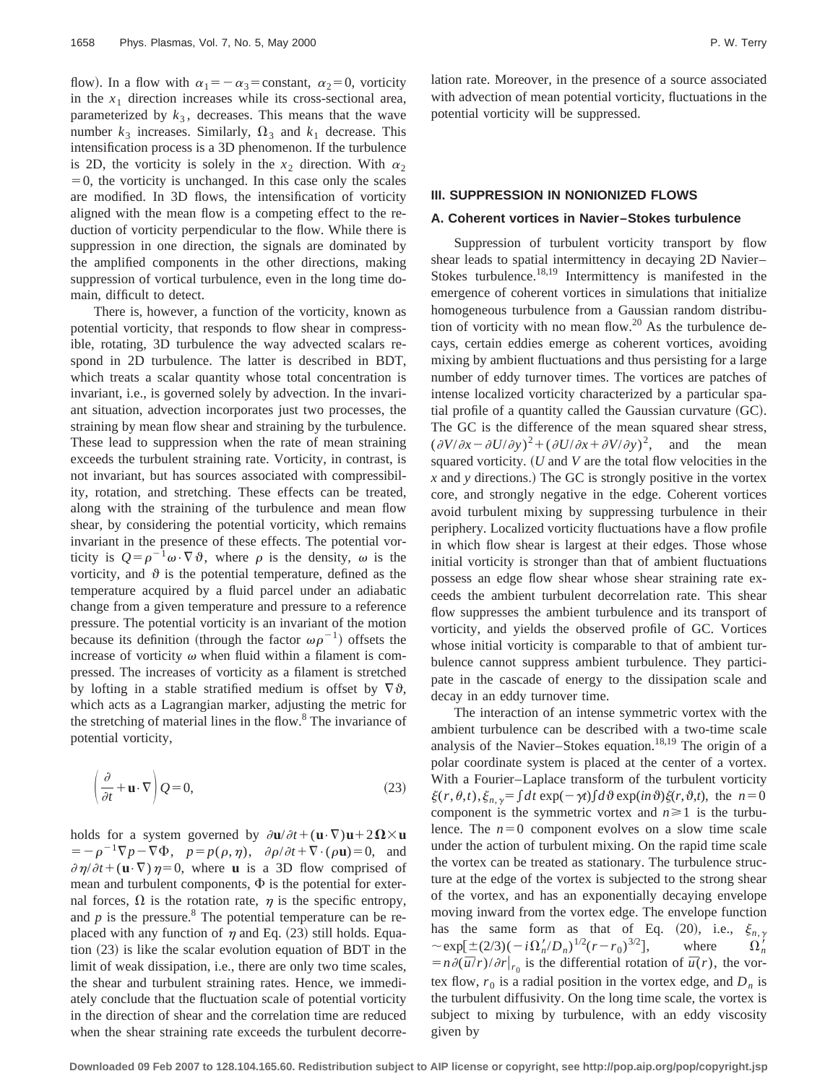flow). In a flow with  $\alpha_1 = -\alpha_3 = \text{constant}, \alpha_2 = 0$ , vorticity in the  $x_1$  direction increases while its cross-sectional area, parameterized by  $k_3$ , decreases. This means that the wave number  $k_3$  increases. Similarly,  $\Omega_3$  and  $k_1$  decrease. This intensification process is a 3D phenomenon. If the turbulence is 2D, the vorticity is solely in the  $x_2$  direction. With  $\alpha_2$  $=0$ , the vorticity is unchanged. In this case only the scales are modified. In 3D flows, the intensification of vorticity aligned with the mean flow is a competing effect to the reduction of vorticity perpendicular to the flow. While there is suppression in one direction, the signals are dominated by the amplified components in the other directions, making suppression of vortical turbulence, even in the long time domain, difficult to detect.

There is, however, a function of the vorticity, known as potential vorticity, that responds to flow shear in compressible, rotating, 3D turbulence the way advected scalars respond in 2D turbulence. The latter is described in BDT, which treats a scalar quantity whose total concentration is invariant, i.e., is governed solely by advection. In the invariant situation, advection incorporates just two processes, the straining by mean flow shear and straining by the turbulence. These lead to suppression when the rate of mean straining exceeds the turbulent straining rate. Vorticity, in contrast, is not invariant, but has sources associated with compressibility, rotation, and stretching. These effects can be treated, along with the straining of the turbulence and mean flow shear, by considering the potential vorticity, which remains invariant in the presence of these effects. The potential vorticity is  $Q = \rho^{-1} \omega \cdot \nabla \vartheta$ , where  $\rho$  is the density,  $\omega$  is the vorticity, and  $\vartheta$  is the potential temperature, defined as the temperature acquired by a fluid parcel under an adiabatic change from a given temperature and pressure to a reference pressure. The potential vorticity is an invariant of the motion because its definition (through the factor  $\omega \rho^{-1}$ ) offsets the increase of vorticity  $\omega$  when fluid within a filament is compressed. The increases of vorticity as a filament is stretched by lofting in a stable stratified medium is offset by  $\nabla \vartheta$ , which acts as a Lagrangian marker, adjusting the metric for the stretching of material lines in the flow.<sup>8</sup> The invariance of potential vorticity,

$$
\left(\frac{\partial}{\partial t} + \mathbf{u} \cdot \nabla\right) Q = 0,\tag{23}
$$

holds for a system governed by  $\partial \mathbf{u}/\partial t + (\mathbf{u} \cdot \nabla)\mathbf{u} + 2\Omega \times \mathbf{u}$  $= -\rho^{-1}\nabla p - \nabla \Phi$ ,  $p = p(\rho, \eta)$ ,  $\partial \rho/\partial t + \nabla \cdot (\rho \mathbf{u}) = 0$ , and  $\partial \eta/\partial t + (\mathbf{u} \cdot \nabla)\eta = 0$ , where **u** is a 3D flow comprised of mean and turbulent components,  $\Phi$  is the potential for external forces,  $\Omega$  is the rotation rate,  $\eta$  is the specific entropy, and  $p$  is the pressure.<sup>8</sup> The potential temperature can be replaced with any function of  $\eta$  and Eq. (23) still holds. Equation  $(23)$  is like the scalar evolution equation of BDT in the limit of weak dissipation, i.e., there are only two time scales, the shear and turbulent straining rates. Hence, we immediately conclude that the fluctuation scale of potential vorticity in the direction of shear and the correlation time are reduced when the shear straining rate exceeds the turbulent decorrelation rate. Moreover, in the presence of a source associated with advection of mean potential vorticity, fluctuations in the potential vorticity will be suppressed.

### **III. SUPPRESSION IN NONIONIZED FLOWS**

### **A. Coherent vortices in Navier–Stokes turbulence**

Suppression of turbulent vorticity transport by flow shear leads to spatial intermittency in decaying 2D Navier– Stokes turbulence.<sup>18,19</sup> Intermittency is manifested in the emergence of coherent vortices in simulations that initialize homogeneous turbulence from a Gaussian random distribution of vorticity with no mean flow.<sup>20</sup> As the turbulence decays, certain eddies emerge as coherent vortices, avoiding mixing by ambient fluctuations and thus persisting for a large number of eddy turnover times. The vortices are patches of intense localized vorticity characterized by a particular spatial profile of a quantity called the Gaussian curvature  $(GC)$ . The GC is the difference of the mean squared shear stress,  $(\partial V/\partial x - \partial U/\partial y)^2 + (\partial U/\partial x + \partial V/\partial y)^2$ , and the mean squared vorticity.  $(U \text{ and } V \text{ are the total flow velocities in the$  *and*  $*y*$  *directions.) The GC is strongly positive in the vortex* core, and strongly negative in the edge. Coherent vortices avoid turbulent mixing by suppressing turbulence in their periphery. Localized vorticity fluctuations have a flow profile in which flow shear is largest at their edges. Those whose initial vorticity is stronger than that of ambient fluctuations possess an edge flow shear whose shear straining rate exceeds the ambient turbulent decorrelation rate. This shear flow suppresses the ambient turbulence and its transport of vorticity, and yields the observed profile of GC. Vortices whose initial vorticity is comparable to that of ambient turbulence cannot suppress ambient turbulence. They participate in the cascade of energy to the dissipation scale and decay in an eddy turnover time.

The interaction of an intense symmetric vortex with the ambient turbulence can be described with a two-time scale analysis of the Navier–Stokes equation.<sup>18,19</sup> The origin of a polar coordinate system is placed at the center of a vortex. With a Fourier–Laplace transform of the turbulent vorticity  $\xi(r,\theta,t), \xi_{n,\gamma} = \int dt \exp(-\gamma t) \int d\theta \exp(in\theta) \xi(r,\theta,t),$  the  $n=0$ component is the symmetric vortex and  $n \ge 1$  is the turbulence. The  $n=0$  component evolves on a slow time scale under the action of turbulent mixing. On the rapid time scale the vortex can be treated as stationary. The turbulence structure at the edge of the vortex is subjected to the strong shear of the vortex, and has an exponentially decaying envelope moving inward from the vortex edge. The envelope function has the same form as that of Eq. (20), i.e.,  $\xi_{n,\gamma}$  $\sim$  exp[ $\pm$ (2/3)( $-i\Omega'_n/D_n$ )<sup>1/2</sup>( $r-r_0$ )<sup>3/2</sup>], where  $\Omega'_n$  $\Omega_n'$  $\sim \exp[\pm (2/3)(-i\Omega'_n/D_n)^{1/2}(r-r_0)^{3/2}],$  where  $\Omega'_n = n \frac{\partial (\bar{u}/r)}{\partial r}|_{r_0}$  is the differential rotation of  $\bar{u}(r)$ , the vortex flow,  $r_0$  is a radial position in the vortex edge, and  $D_n$  is the turbulent diffusivity. On the long time scale, the vortex is subject to mixing by turbulence, with an eddy viscosity given by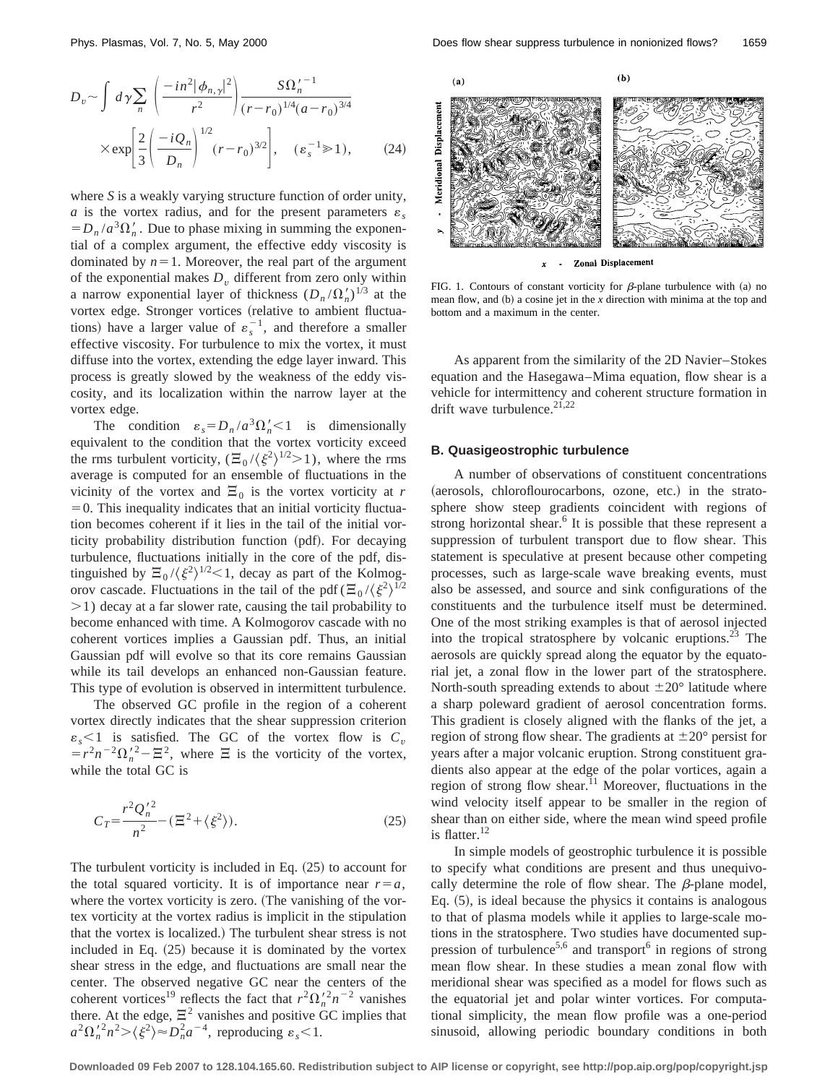$$
D_v \sim \int d\gamma \sum_n \left( \frac{-in^2 |\phi_{n,\gamma}|^2}{r^2} \right) \frac{S\Omega_n^{\gamma - 1}}{(r - r_0)^{1/4} (a - r_0)^{3/4}} \times \exp\left[ \frac{2}{3} \left( \frac{-iQ_n}{D_n} \right)^{1/2} (r - r_0)^{3/2} \right], \quad (\varepsilon_s^{-1} \gg 1), \tag{24}
$$

where *S* is a weakly varying structure function of order unity, *a* is the vortex radius, and for the present parameters  $\varepsilon$ .  $= D_n/a^3\Omega'_n$ . Due to phase mixing in summing the exponential of a complex argument, the effective eddy viscosity is dominated by  $n=1$ . Moreover, the real part of the argument of the exponential makes  $D<sub>v</sub>$  different from zero only within a narrow exponential layer of thickness  $(D_n/\Omega'_n)^{1/3}$  at the vortex edge. Stronger vortices (relative to ambient fluctuations) have a larger value of  $\varepsilon_s^{-1}$ , and therefore a smaller effective viscosity. For turbulence to mix the vortex, it must diffuse into the vortex, extending the edge layer inward. This process is greatly slowed by the weakness of the eddy viscosity, and its localization within the narrow layer at the vortex edge.

The condition  $\varepsilon_s = D_n/a^3 \Omega'_n < 1$  is dimensionally equivalent to the condition that the vortex vorticity exceed the rms turbulent vorticity,  $(\Xi_0 / \langle \xi^2 \rangle^{1/2} > 1)$ , where the rms average is computed for an ensemble of fluctuations in the vicinity of the vortex and  $\Xi_0$  is the vortex vorticity at *r*  $=0$ . This inequality indicates that an initial vorticity fluctuation becomes coherent if it lies in the tail of the initial vorticity probability distribution function (pdf). For decaying turbulence, fluctuations initially in the core of the pdf, distinguished by  $\Xi_0 / \langle \xi^2 \rangle^{1/2}$  (decay as part of the Kolmogorov cascade. Fluctuations in the tail of the pdf  $(\Xi_0/\langle \xi^2 \rangle^{1/2})$  $>1$ ) decay at a far slower rate, causing the tail probability to become enhanced with time. A Kolmogorov cascade with no coherent vortices implies a Gaussian pdf. Thus, an initial Gaussian pdf will evolve so that its core remains Gaussian while its tail develops an enhanced non-Gaussian feature. This type of evolution is observed in intermittent turbulence.

The observed GC profile in the region of a coherent vortex directly indicates that the shear suppression criterion  $\varepsilon_s$  < 1 is satisfied. The GC of the vortex flow is  $C_v$  $=r^2n^{-2}\Omega_n^{\prime2}-\Xi^2$ , where  $\Xi$  is the vorticity of the vortex, while the total GC is

$$
C_T = \frac{r^2 Q_n^{'2}}{n^2} - (\Xi^2 + \langle \xi^2 \rangle). \tag{25}
$$

The turbulent vorticity is included in Eq.  $(25)$  to account for the total squared vorticity. It is of importance near  $r=a$ , where the vortex vorticity is zero. (The vanishing of the vortex vorticity at the vortex radius is implicit in the stipulation that the vortex is localized.) The turbulent shear stress is not included in Eq.  $(25)$  because it is dominated by the vortex shear stress in the edge, and fluctuations are small near the center. The observed negative GC near the centers of the coherent vortices<sup>19</sup> reflects the fact that  $r^2 \Omega_n^{\prime 2} n^{-2}$  vanishes there. At the edge,  $\Xi^2$  vanishes and positive GC implies that  $a^2 \Omega_n^2 n^2 > \langle \xi^2 \rangle \approx D_n^2 a^{-4}$ , reproducing  $\varepsilon_s < 1$ .



FIG. 1. Contours of constant vorticity for  $\beta$ -plane turbulence with (a) no mean flow, and (b) a cosine jet in the *x* direction with minima at the top and bottom and a maximum in the center.

As apparent from the similarity of the 2D Navier–Stokes equation and the Hasegawa–Mima equation, flow shear is a vehicle for intermittency and coherent structure formation in drift wave turbulence.<sup>21,22</sup>

#### **B. Quasigeostrophic turbulence**

A number of observations of constituent concentrations (aerosols, chloroflourocarbons, ozone, etc.) in the stratosphere show steep gradients coincident with regions of strong horizontal shear.<sup>6</sup> It is possible that these represent a suppression of turbulent transport due to flow shear. This statement is speculative at present because other competing processes, such as large-scale wave breaking events, must also be assessed, and source and sink configurations of the constituents and the turbulence itself must be determined. One of the most striking examples is that of aerosol injected into the tropical stratosphere by volcanic eruptions.<sup>23</sup> The aerosols are quickly spread along the equator by the equatorial jet, a zonal flow in the lower part of the stratosphere. North-south spreading extends to about  $\pm 20^{\circ}$  latitude where a sharp poleward gradient of aerosol concentration forms. This gradient is closely aligned with the flanks of the jet, a region of strong flow shear. The gradients at  $\pm 20^{\circ}$  persist for years after a major volcanic eruption. Strong constituent gradients also appear at the edge of the polar vortices, again a region of strong flow shear.<sup>11</sup> Moreover, fluctuations in the wind velocity itself appear to be smaller in the region of shear than on either side, where the mean wind speed profile is flatter.<sup>12</sup>

In simple models of geostrophic turbulence it is possible to specify what conditions are present and thus unequivocally determine the role of flow shear. The  $\beta$ -plane model, Eq.  $(5)$ , is ideal because the physics it contains is analogous to that of plasma models while it applies to large-scale motions in the stratosphere. Two studies have documented suppression of turbulence<sup>5,6</sup> and transport<sup>6</sup> in regions of strong mean flow shear. In these studies a mean zonal flow with meridional shear was specified as a model for flows such as the equatorial jet and polar winter vortices. For computational simplicity, the mean flow profile was a one-period sinusoid, allowing periodic boundary conditions in both

**Downloaded 09 Feb 2007 to 128.104.165.60. Redistribution subject to AIP license or copyright, see http://pop.aip.org/pop/copyright.jsp**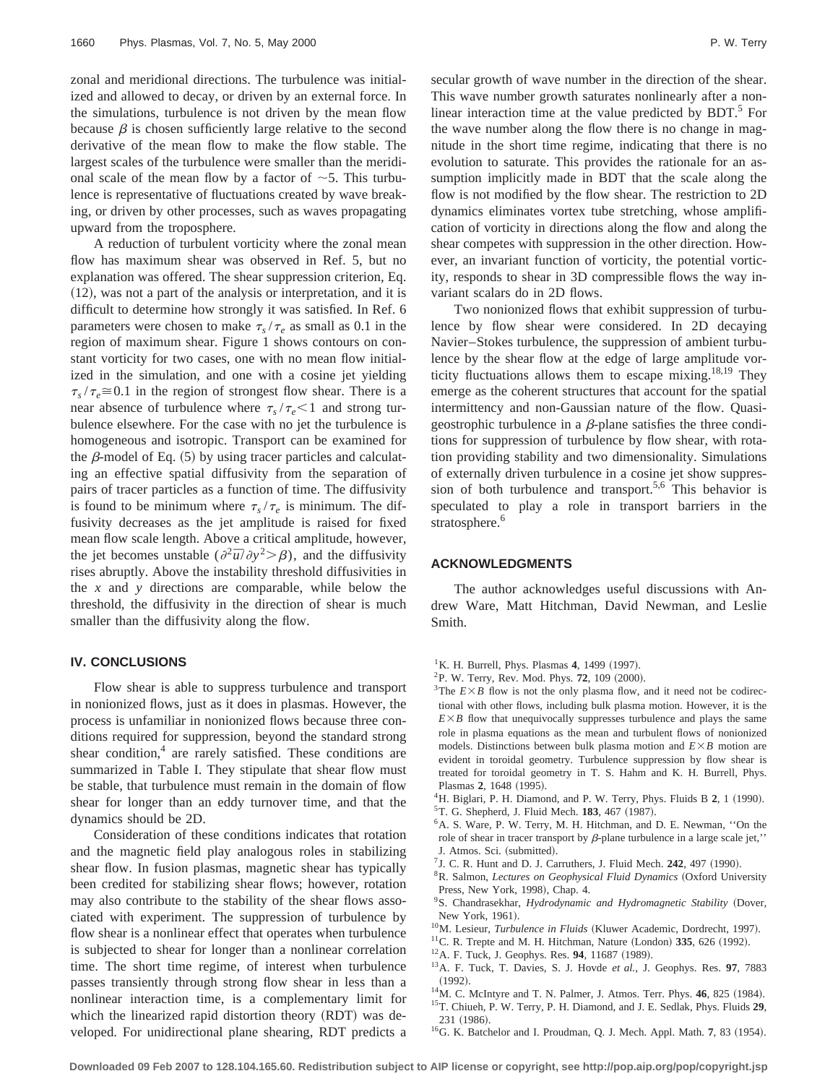zonal and meridional directions. The turbulence was initialized and allowed to decay, or driven by an external force. In the simulations, turbulence is not driven by the mean flow because  $\beta$  is chosen sufficiently large relative to the second derivative of the mean flow to make the flow stable. The largest scales of the turbulence were smaller than the meridional scale of the mean flow by a factor of  $\sim$  5. This turbulence is representative of fluctuations created by wave breaking, or driven by other processes, such as waves propagating upward from the troposphere.

A reduction of turbulent vorticity where the zonal mean flow has maximum shear was observed in Ref. 5, but no explanation was offered. The shear suppression criterion, Eq.  $(12)$ , was not a part of the analysis or interpretation, and it is difficult to determine how strongly it was satisfied. In Ref. 6 parameters were chosen to make  $\tau_s / \tau_e$  as small as 0.1 in the region of maximum shear. Figure 1 shows contours on constant vorticity for two cases, one with no mean flow initialized in the simulation, and one with a cosine jet yielding  $\tau_s / \tau_e \approx 0.1$  in the region of strongest flow shear. There is a near absence of turbulence where  $\tau_s / \tau_e < 1$  and strong turbulence elsewhere. For the case with no jet the turbulence is homogeneous and isotropic. Transport can be examined for the  $\beta$ -model of Eq. (5) by using tracer particles and calculating an effective spatial diffusivity from the separation of pairs of tracer particles as a function of time. The diffusivity is found to be minimum where  $\tau_s / \tau_e$  is minimum. The diffusivity decreases as the jet amplitude is raised for fixed mean flow scale length. Above a critical amplitude, however, the jet becomes unstable  $(\partial^2 \bar{u}/\partial y^2 > \beta)$ , and the diffusivity rises abruptly. Above the instability threshold diffusivities in the *x* and *y* directions are comparable, while below the threshold, the diffusivity in the direction of shear is much smaller than the diffusivity along the flow.

#### **IV. CONCLUSIONS**

Flow shear is able to suppress turbulence and transport in nonionized flows, just as it does in plasmas. However, the process is unfamiliar in nonionized flows because three conditions required for suppression, beyond the standard strong shear condition, $4$  are rarely satisfied. These conditions are summarized in Table I. They stipulate that shear flow must be stable, that turbulence must remain in the domain of flow shear for longer than an eddy turnover time, and that the dynamics should be 2D.

Consideration of these conditions indicates that rotation and the magnetic field play analogous roles in stabilizing shear flow. In fusion plasmas, magnetic shear has typically been credited for stabilizing shear flows; however, rotation may also contribute to the stability of the shear flows associated with experiment. The suppression of turbulence by flow shear is a nonlinear effect that operates when turbulence is subjected to shear for longer than a nonlinear correlation time. The short time regime, of interest when turbulence passes transiently through strong flow shear in less than a nonlinear interaction time, is a complementary limit for which the linearized rapid distortion theory (RDT) was developed. For unidirectional plane shearing, RDT predicts a secular growth of wave number in the direction of the shear. This wave number growth saturates nonlinearly after a nonlinear interaction time at the value predicted by  $BDT<sup>5</sup>$  For the wave number along the flow there is no change in magnitude in the short time regime, indicating that there is no evolution to saturate. This provides the rationale for an assumption implicitly made in BDT that the scale along the flow is not modified by the flow shear. The restriction to 2D dynamics eliminates vortex tube stretching, whose amplification of vorticity in directions along the flow and along the shear competes with suppression in the other direction. However, an invariant function of vorticity, the potential vorticity, responds to shear in 3D compressible flows the way invariant scalars do in 2D flows.

Two nonionized flows that exhibit suppression of turbulence by flow shear were considered. In 2D decaying Navier–Stokes turbulence, the suppression of ambient turbulence by the shear flow at the edge of large amplitude vorticity fluctuations allows them to escape mixing.<sup>18,19</sup> They emerge as the coherent structures that account for the spatial intermittency and non-Gaussian nature of the flow. Quasigeostrophic turbulence in a  $\beta$ -plane satisfies the three conditions for suppression of turbulence by flow shear, with rotation providing stability and two dimensionality. Simulations of externally driven turbulence in a cosine jet show suppression of both turbulence and transport.<sup>5,6</sup> This behavior is speculated to play a role in transport barriers in the stratosphere.<sup>6</sup>

### **ACKNOWLEDGMENTS**

The author acknowledges useful discussions with Andrew Ware, Matt Hitchman, David Newman, and Leslie Smith.

- ${}^{1}$ K. H. Burrell, Phys. Plasmas 4, 1499 (1997).
- <sup>2</sup>P. W. Terry, Rev. Mod. Phys. **72**, 109 (2000).
- <sup>3</sup>The  $E \times B$  flow is not the only plasma flow, and it need not be codirectional with other flows, including bulk plasma motion. However, it is the  $E \times B$  flow that unequivocally suppresses turbulence and plays the same role in plasma equations as the mean and turbulent flows of nonionized models. Distinctions between bulk plasma motion and  $E \times B$  motion are evident in toroidal geometry. Turbulence suppression by flow shear is treated for toroidal geometry in T. S. Hahm and K. H. Burrell, Phys. Plasmas 2, 1648 (1995).
- <sup>4</sup>H. Biglari, P. H. Diamond, and P. W. Terry, Phys. Fluids B 2, 1 (1990). <sup>5</sup>T. G. Shepherd, J. Fluid Mech. **183**, 467 (1987).
- <sup>6</sup>A. S. Ware, P. W. Terry, M. H. Hitchman, and D. E. Newman, "On the role of shear in tracer transport by  $\beta$ -plane turbulence in a large scale jet,' J. Atmos. Sci. (submitted).
- ${}^{7}$ J. C. R. Hunt and D. J. Carruthers, J. Fluid Mech. **242**, 497 (1990).
- <sup>8</sup>R. Salmon, *Lectures on Geophysical Fluid Dynamics* (Oxford University Press, New York, 1998), Chap. 4.
- <sup>9</sup>S. Chandrasekhar, *Hydrodynamic and Hydromagnetic Stability* (Dover, New York, 1961).
- <sup>10</sup>M. Lesieur, *Turbulence in Fluids* (Kluwer Academic, Dordrecht, 1997).
- $11^1$ C. R. Trepte and M. H. Hitchman, Nature (London) 335, 626 (1992).
- <sup>12</sup>A. F. Tuck, J. Geophys. Res. 94, 11687 (1989).
- 13A. F. Tuck, T. Davies, S. J. Hovde *et al.*, J. Geophys. Res. **97**, 7883  $(1992).$
- <sup>14</sup>M. C. McIntyre and T. N. Palmer, J. Atmos. Terr. Phys. **46**, 825 (1984). 15T. Chiueh, P. W. Terry, P. H. Diamond, and J. E. Sedlak, Phys. Fluids **29**, 231 (1986).
- <sup>16</sup>G. K. Batchelor and I. Proudman, Q. J. Mech. Appl. Math. 7, 83 (1954).